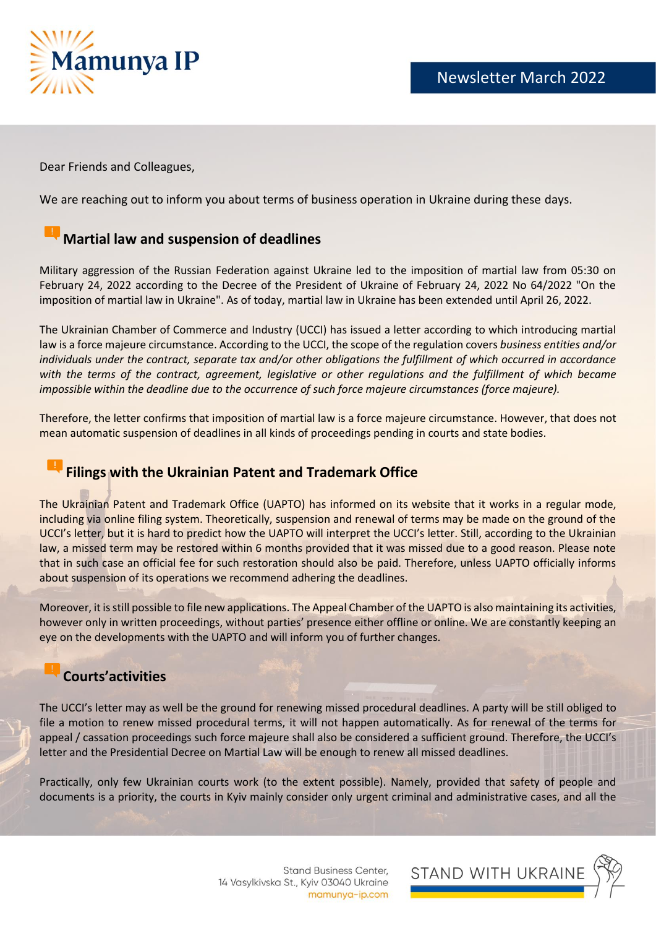

Dear Friends and Colleagues,

We are reaching out to inform you about terms of business operation in Ukraine during these days.

# **Martial law and suspension of deadlines**

Military aggression of the Russian Federation against Ukraine led to the imposition of martial law from 05:30 on February 24, 2022 according to the Decree of the President of Ukraine of February 24, 2022 No 64/2022 "On the imposition of martial law in Ukraine". As of today, martial law in Ukraine has been extended until April 26, 2022.

The Ukrainian Chamber of Commerce and Industry (UCCI) has issued a letter according to which introducing martial law is a force majeure circumstance. According to the UCCI, the scope of the regulation covers *business entities and/or individuals under the contract, separate tax and/or other obligations the fulfillment of which occurred in accordance*  with the terms of the contract, agreement, legislative or other regulations and the fulfillment of which became *impossible within the deadline due to the occurrence of such force majeure circumstances (force majeure).*

Therefore, the letter confirms that imposition of martial law is a force majeure circumstance. However, that does not mean automatic suspension of deadlines in all kinds of proceedings pending in courts and state bodies.

### **Filings with the Ukrainian Patent and Trademark Office**

The Ukrainian Patent and Trademark Office (UAPTO) has informed on its website that it works in a regular mode, including via online filing system. Theoretically, suspension and renewal of terms may be made on the ground of the UCCI's letter, but it is hard to predict how the UAPTO will interpret the UCCI's letter. Still, according to the Ukrainian law, a missed term may be restored within 6 months provided that it was missed due to a good reason. Please note that in such case an official fee for such restoration should also be paid. Therefore, unless UAPTO officially informs about suspension of its operations we recommend adhering the deadlines.

Moreover, it is still possible to file new applications. The Appeal Chamber of the UAPTO is also maintaining its activities, however only in written proceedings, without parties' presence either offline or online. We are constantly keeping an eye on the developments with the UAPTO and will inform you of further changes.

#### **Courts'activities**

The UCCI's letter may as well be the ground for renewing missed procedural deadlines. A party will be still obliged to file a motion to renew missed procedural terms, it will not happen automatically. As for renewal of the terms for appeal / cassation proceedings such force majeure shall also be considered a sufficient ground. Therefore, the UCCI's letter and the Presidential Decree on Martial Law will be enough to renew all missed deadlines.

Practically, only few Ukrainian courts work (to the extent possible). Namely, provided that safety of people and documents is a priority, the courts in Kyiv mainly consider only urgent criminal and administrative cases, and all the